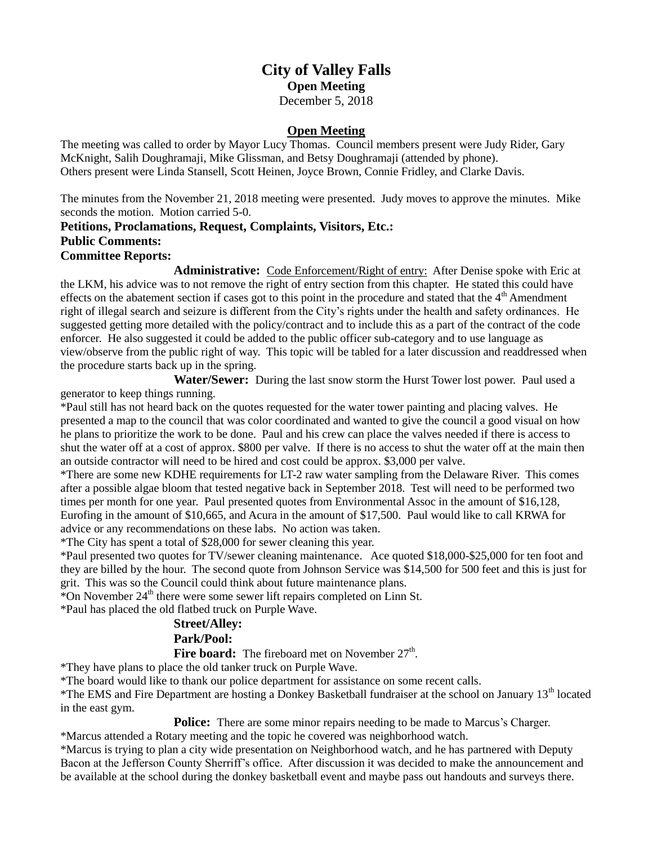# **City of Valley Falls Open Meeting** December 5, 2018

# **Open Meeting**

The meeting was called to order by Mayor Lucy Thomas. Council members present were Judy Rider, Gary McKnight, Salih Doughramaji, Mike Glissman, and Betsy Doughramaji (attended by phone). Others present were Linda Stansell, Scott Heinen, Joyce Brown, Connie Fridley, and Clarke Davis.

The minutes from the November 21, 2018 meeting were presented. Judy moves to approve the minutes. Mike seconds the motion. Motion carried 5-0.

# **Petitions, Proclamations, Request, Complaints, Visitors, Etc.: Public Comments:**

### **Committee Reports:**

**Administrative:** Code Enforcement/Right of entry: After Denise spoke with Eric at the LKM, his advice was to not remove the right of entry section from this chapter. He stated this could have effects on the abatement section if cases got to this point in the procedure and stated that the  $4<sup>th</sup>$  Amendment right of illegal search and seizure is different from the City's rights under the health and safety ordinances. He suggested getting more detailed with the policy/contract and to include this as a part of the contract of the code enforcer. He also suggested it could be added to the public officer sub-category and to use language as view/observe from the public right of way. This topic will be tabled for a later discussion and readdressed when the procedure starts back up in the spring.

**Water/Sewer:** During the last snow storm the Hurst Tower lost power. Paul used a generator to keep things running.

\*Paul still has not heard back on the quotes requested for the water tower painting and placing valves. He presented a map to the council that was color coordinated and wanted to give the council a good visual on how he plans to prioritize the work to be done. Paul and his crew can place the valves needed if there is access to shut the water off at a cost of approx. \$800 per valve. If there is no access to shut the water off at the main then an outside contractor will need to be hired and cost could be approx. \$3,000 per valve.

\*There are some new KDHE requirements for LT-2 raw water sampling from the Delaware River. This comes after a possible algae bloom that tested negative back in September 2018. Test will need to be performed two times per month for one year. Paul presented quotes from Environmental Assoc in the amount of \$16,128, Eurofing in the amount of \$10,665, and Acura in the amount of \$17,500. Paul would like to call KRWA for advice or any recommendations on these labs. No action was taken.

\*The City has spent a total of \$28,000 for sewer cleaning this year.

\*Paul presented two quotes for TV/sewer cleaning maintenance. Ace quoted \$18,000-\$25,000 for ten foot and they are billed by the hour. The second quote from Johnson Service was \$14,500 for 500 feet and this is just for grit. This was so the Council could think about future maintenance plans.

\*On November  $24<sup>th</sup>$  there were some sewer lift repairs completed on Linn St.

\*Paul has placed the old flatbed truck on Purple Wave.

#### **Street/Alley:**

# **Park/Pool:**

Fire board: The fireboard met on November 27<sup>th</sup>.

\*They have plans to place the old tanker truck on Purple Wave.

\*The board would like to thank our police department for assistance on some recent calls.

\*The EMS and Fire Department are hosting a Donkey Basketball fundraiser at the school on January 13<sup>th</sup> located in the east gym.

**Police:** There are some minor repairs needing to be made to Marcus's Charger.

\*Marcus attended a Rotary meeting and the topic he covered was neighborhood watch.

\*Marcus is trying to plan a city wide presentation on Neighborhood watch, and he has partnered with Deputy Bacon at the Jefferson County Sherriff's office. After discussion it was decided to make the announcement and be available at the school during the donkey basketball event and maybe pass out handouts and surveys there.